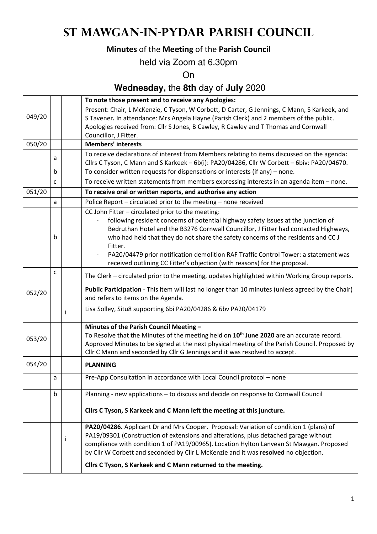# **St Mawgan-in-Pydar Parish Council**

## **Minutes** of the **Meeting** of the **Parish Council**

## held via Zoom at 6.30pm

On

## **Wednesday,** the **8th** day of **July** 2020

|        |              |                                                                                     | To note those present and to receive any Apologies:                                                                                     |  |  |  |
|--------|--------------|-------------------------------------------------------------------------------------|-----------------------------------------------------------------------------------------------------------------------------------------|--|--|--|
|        |              |                                                                                     | Present: Chair, L McKenzie, C Tyson, W Corbett, D Carter, G Jennings, C Mann, S Karkeek, and                                            |  |  |  |
| 049/20 |              |                                                                                     | S Tavener. In attendance: Mrs Angela Hayne (Parish Clerk) and 2 members of the public.                                                  |  |  |  |
|        |              | Apologies received from: Cllr S Jones, B Cawley, R Cawley and T Thomas and Cornwall |                                                                                                                                         |  |  |  |
|        |              |                                                                                     | Councillor, J Fitter.                                                                                                                   |  |  |  |
| 050/20 |              |                                                                                     | <b>Members' interests</b>                                                                                                               |  |  |  |
|        | a            |                                                                                     | To receive declarations of interest from Members relating to items discussed on the agenda:                                             |  |  |  |
|        |              |                                                                                     | Cllrs C Tyson, C Mann and S Karkeek - 6b(i): PA20/04286, Cllr W Corbett - 6biv: PA20/04670.                                             |  |  |  |
|        | $\mathsf{b}$ |                                                                                     | To consider written requests for dispensations or interests (if any) – none.                                                            |  |  |  |
|        | C            |                                                                                     | To receive written statements from members expressing interests in an agenda item - none.                                               |  |  |  |
| 051/20 |              |                                                                                     | To receive oral or written reports, and authorise any action                                                                            |  |  |  |
|        | a            |                                                                                     | Police Report - circulated prior to the meeting - none received                                                                         |  |  |  |
|        |              |                                                                                     | CC John Fitter - circulated prior to the meeting:                                                                                       |  |  |  |
|        |              |                                                                                     | following resident concerns of potential highway safety issues at the junction of                                                       |  |  |  |
|        |              |                                                                                     | Bedruthan Hotel and the B3276 Cornwall Councillor, J Fitter had contacted Highways,                                                     |  |  |  |
|        | b            |                                                                                     | who had held that they do not share the safety concerns of the residents and CC J                                                       |  |  |  |
|        |              |                                                                                     | Fitter.                                                                                                                                 |  |  |  |
|        |              |                                                                                     | PA20/04479 prior notification demolition RAF Traffic Control Tower: a statement was                                                     |  |  |  |
|        |              |                                                                                     | received outlining CC Fitter's objection (with reasons) for the proposal.                                                               |  |  |  |
|        | c            |                                                                                     | The Clerk – circulated prior to the meeting, updates highlighted within Working Group reports.                                          |  |  |  |
| 052/20 |              |                                                                                     | Public Participation - This item will last no longer than 10 minutes (unless agreed by the Chair)<br>and refers to items on the Agenda. |  |  |  |
|        |              |                                                                                     | Lisa Solley, Situ8 supporting 6bi PA20/04286 & 6bv PA20/04179                                                                           |  |  |  |
|        |              |                                                                                     | Minutes of the Parish Council Meeting -                                                                                                 |  |  |  |
| 053/20 |              |                                                                                     | To Resolve that the Minutes of the meeting held on 10 <sup>th</sup> June 2020 are an accurate record.                                   |  |  |  |
|        |              |                                                                                     | Approved Minutes to be signed at the next physical meeting of the Parish Council. Proposed by                                           |  |  |  |
|        |              |                                                                                     | Cllr C Mann and seconded by Cllr G Jennings and it was resolved to accept.                                                              |  |  |  |
| 054/20 |              |                                                                                     | <b>PLANNING</b>                                                                                                                         |  |  |  |
|        | a            |                                                                                     | Pre-App Consultation in accordance with Local Council protocol - none                                                                   |  |  |  |
|        | b            |                                                                                     | Planning - new applications - to discuss and decide on response to Cornwall Council                                                     |  |  |  |
|        |              |                                                                                     | Cllrs C Tyson, S Karkeek and C Mann left the meeting at this juncture.                                                                  |  |  |  |
|        |              |                                                                                     | PA20/04286. Applicant Dr and Mrs Cooper. Proposal: Variation of condition 1 (plans) of                                                  |  |  |  |
|        |              |                                                                                     | PA19/09301 (Construction of extensions and alterations, plus detached garage without                                                    |  |  |  |
|        |              | i                                                                                   | compliance with condition 1 of PA19/00965). Location Hylton Lanvean St Mawgan. Proposed                                                 |  |  |  |
|        |              |                                                                                     | by Cllr W Corbett and seconded by Cllr L McKenzie and it was resolved no objection.                                                     |  |  |  |
|        |              |                                                                                     | Cllrs C Tyson, S Karkeek and C Mann returned to the meeting.                                                                            |  |  |  |
|        |              |                                                                                     |                                                                                                                                         |  |  |  |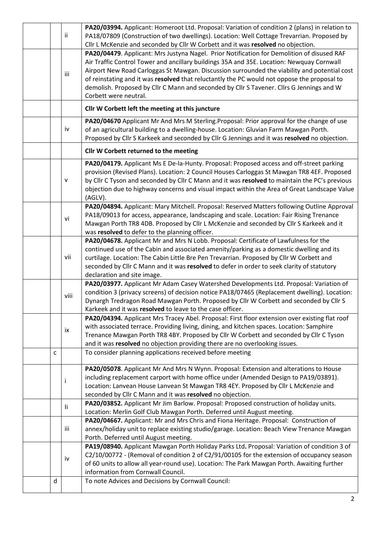| ii.  | PA20/03994. Applicant: Homeroot Ltd. Proposal: Variation of condition 2 (plans) in relation to<br>PA18/07809 (Construction of two dwellings). Location: Well Cottage Trevarrian. Proposed by<br>Cllr L McKenzie and seconded by Cllr W Corbett and it was resolved no objection.                                                                                                                          |  |  |  |
|------|-----------------------------------------------------------------------------------------------------------------------------------------------------------------------------------------------------------------------------------------------------------------------------------------------------------------------------------------------------------------------------------------------------------|--|--|--|
| iii  | PA20/04479. Applicant: Mrs Justyna Nagel. Prior Notification for Demolition of disused RAF<br>Air Traffic Control Tower and ancillary buildings 35A and 35E. Location: Newquay Cornwall<br>Airport New Road Carloggas St Mawgan. Discussion surrounded the viability and potential cost<br>of reinstating and it was resolved that reluctantly the PC would not oppose the proposal to                    |  |  |  |
|      | demolish. Proposed by Cllr C Mann and seconded by Cllr S Tavener. Cllrs G Jennings and W<br>Corbett were neutral.                                                                                                                                                                                                                                                                                         |  |  |  |
|      | Cllr W Corbett left the meeting at this juncture                                                                                                                                                                                                                                                                                                                                                          |  |  |  |
| iv   | PA20/04670 Applicant Mr And Mrs M Sterling. Proposal: Prior approval for the change of use<br>of an agricultural building to a dwelling-house. Location: Gluvian Farm Mawgan Porth.<br>Proposed by Cllr S Karkeek and seconded by Cllr G Jennings and it was resolved no objection.                                                                                                                       |  |  |  |
|      | Cllr W Corbett returned to the meeting                                                                                                                                                                                                                                                                                                                                                                    |  |  |  |
| v    | PA20/04179. Applicant Ms E De-la-Hunty. Proposal: Proposed access and off-street parking<br>provision (Revised Plans). Location: 2 Council Houses Carloggas St Mawgan TR8 4EF. Proposed<br>by Cllr C Tyson and seconded by Cllr C Mann and it was resolved to maintain the PC's previous<br>objection due to highway concerns and visual impact within the Area of Great Landscape Value<br>(AGLV).       |  |  |  |
| vi   | PA20/04894. Applicant: Mary Mitchell. Proposal: Reserved Matters following Outline Approval<br>PA18/09013 for access, appearance, landscaping and scale. Location: Fair Rising Trenance<br>Mawgan Porth TR8 4DB. Proposed by Cllr L McKenzie and seconded by Cllr S Karkeek and it<br>was resolved to defer to the planning officer.                                                                      |  |  |  |
| vii  | PA20/04678. Applicant Mr and Mrs N Lobb. Proposal: Certificate of Lawfulness for the<br>continued use of the Cabin and associated amenity/parking as a domestic dwelling and its<br>curtilage. Location: The Cabin Little Bre Pen Trevarrian. Proposed by Cllr W Corbett and<br>seconded by Cllr C Mann and it was resolved to defer in order to seek clarity of statutory<br>declaration and site image. |  |  |  |
| viii | PA20/03977. Applicant Mr Adam Casey Watershed Developments Ltd. Proposal: Variation of<br>condition 3 (privacy screens) of decision notice PA18/07465 (Replacement dwelling). Location:<br>Dynargh Tredragon Road Mawgan Porth. Proposed by Cllr W Corbett and seconded by Cllr S<br>Karkeek and it was resolved to leave to the case officer.                                                            |  |  |  |
| ix   | PA20/04394. Applicant Mrs Tracey Abel. Proposal: First floor extension over existing flat roof<br>with associated terrace. Providing living, dining, and kitchen spaces. Location: Samphire<br>Trenance Mawgan Porth TR8 4BY. Proposed by Cllr W Corbett and seconded by Cllr C Tyson<br>and it was resolved no objection providing there are no overlooking issues.                                      |  |  |  |
| C    | To consider planning applications received before meeting                                                                                                                                                                                                                                                                                                                                                 |  |  |  |
| İ    | PA20/05078. Applicant Mr And Mrs N Wynn. Proposal: Extension and alterations to House<br>including replacement carport with home office under (Amended Design to PA19/03891).<br>Location: Lanvean House Lanvean St Mawgan TR8 4EY. Proposed by Cllr L McKenzie and<br>seconded by Cllr C Mann and it was resolved no objection.                                                                          |  |  |  |
| li.  | PA20/03852. Applicant Mr Jim Barlow. Proposal: Proposed construction of holiday units.<br>Location: Merlin Golf Club Mawgan Porth. Deferred until August meeting.                                                                                                                                                                                                                                         |  |  |  |
| iii  | PA20/04667. Applicant: Mr and Mrs Chris and Fiona Heritage. Proposal: Construction of<br>annex/holiday unit to replace existing studio/garage. Location: Beach View Trenance Mawgan<br>Porth. Deferred until August meeting.                                                                                                                                                                              |  |  |  |
| iv   | PA19/08940. Applicant Mawgan Porth Holiday Parks Ltd. Proposal: Variation of condition 3 of<br>C2/10/00772 - (Removal of condition 2 of C2/91/00105 for the extension of occupancy season<br>of 60 units to allow all year-round use). Location: The Park Mawgan Porth. Awaiting further<br>information from Cornwall Council.                                                                            |  |  |  |
| d    | To note Advices and Decisions by Cornwall Council:                                                                                                                                                                                                                                                                                                                                                        |  |  |  |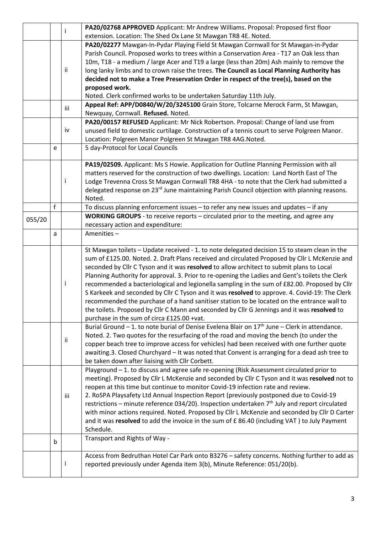|        |             | j   | PA20/02768 APPROVED Applicant: Mr Andrew Williams. Proposal: Proposed first floor                                                                                                         |  |  |  |
|--------|-------------|-----|-------------------------------------------------------------------------------------------------------------------------------------------------------------------------------------------|--|--|--|
|        |             |     | extension. Location: The Shed Ox Lane St Mawgan TR8 4E. Noted.                                                                                                                            |  |  |  |
|        |             |     | PA20/02277 Mawgan-In-Pydar Playing Field St Mawgan Cornwall for St Mawgan-in-Pydar                                                                                                        |  |  |  |
|        |             |     | Parish Council. Proposed works to trees within a Conservation Area - T17 an Oak less than                                                                                                 |  |  |  |
|        |             |     | 10m, T18 - a medium / large Acer and T19 a large (less than 20m) Ash mainly to remove the                                                                                                 |  |  |  |
|        |             | ii  | long lanky limbs and to crown raise the trees. The Council as Local Planning Authority has                                                                                                |  |  |  |
|        |             |     | decided not to make a Tree Preservation Order in respect of the tree(s), based on the                                                                                                     |  |  |  |
|        |             |     | proposed work.                                                                                                                                                                            |  |  |  |
|        |             |     | Noted. Clerk confirmed works to be undertaken Saturday 11th July.                                                                                                                         |  |  |  |
|        |             | iii | Appeal Ref: APP/D0840/W/20/3245100 Grain Store, Tolcarne Merock Farm, St Mawgan,                                                                                                          |  |  |  |
|        |             |     | Newquay, Cornwall. Refused. Noted.                                                                                                                                                        |  |  |  |
|        |             |     | PA20/00157 REFUSED Applicant: Mr Nick Robertson. Proposal: Change of land use from                                                                                                        |  |  |  |
|        |             | iv  | unused field to domestic curtilage. Construction of a tennis court to serve Polgreen Manor.                                                                                               |  |  |  |
|        |             |     | Location: Polgreen Manor Polgreen St Mawgan TR8 4AG.Noted.                                                                                                                                |  |  |  |
|        | e           |     | 5 day-Protocol for Local Councils                                                                                                                                                         |  |  |  |
|        |             |     |                                                                                                                                                                                           |  |  |  |
|        |             |     | PA19/02509. Applicant: Ms S Howie. Application for Outline Planning Permission with all                                                                                                   |  |  |  |
|        |             |     | matters reserved for the construction of two dwellings. Location: Land North East of The                                                                                                  |  |  |  |
|        |             |     | Lodge Trevenna Cross St Mawgan Cornwall TR8 4HA - to note that the Clerk had submitted a                                                                                                  |  |  |  |
|        |             |     | delegated response on 23 <sup>rd</sup> June maintaining Parish Council objection with planning reasons.                                                                                   |  |  |  |
|        |             |     | Noted.                                                                                                                                                                                    |  |  |  |
|        | $\mathsf f$ |     | To discuss planning enforcement issues $-$ to refer any new issues and updates $-$ if any                                                                                                 |  |  |  |
| 055/20 |             |     | WORKING GROUPS - to receive reports - circulated prior to the meeting, and agree any                                                                                                      |  |  |  |
|        |             |     | necessary action and expenditure:                                                                                                                                                         |  |  |  |
|        | a           |     | Amenities-                                                                                                                                                                                |  |  |  |
|        |             |     |                                                                                                                                                                                           |  |  |  |
|        |             |     | St Mawgan toilets - Update received - 1. to note delegated decision 15 to steam clean in the                                                                                              |  |  |  |
|        |             |     | sum of £125.00. Noted. 2. Draft Plans received and circulated Proposed by Cllr L McKenzie and<br>seconded by Cllr C Tyson and it was resolved to allow architect to submit plans to Local |  |  |  |
|        |             |     | Planning Authority for approval. 3. Prior to re-opening the Ladies and Gent's toilets the Clerk                                                                                           |  |  |  |
|        |             |     | recommended a bacteriological and legionella sampling in the sum of £82.00. Proposed by Cllr                                                                                              |  |  |  |
|        |             |     | S Karkeek and seconded by Cllr C Tyson and it was resolved to approve. 4. Covid-19: The Clerk                                                                                             |  |  |  |
|        |             |     | recommended the purchase of a hand sanitiser station to be located on the entrance wall to                                                                                                |  |  |  |
|        |             |     | the toilets. Proposed by Cllr C Mann and seconded by Cllr G Jennings and it was resolved to                                                                                               |  |  |  |
|        |             |     | purchase in the sum of circa £125.00 +vat.                                                                                                                                                |  |  |  |
|        |             |     | Burial Ground - 1. to note burial of Denise Evelena Blair on $17th$ June - Clerk in attendance.                                                                                           |  |  |  |
|        |             |     | Noted. 2. Two quotes for the resurfacing of the road and moving the bench (to under the                                                                                                   |  |  |  |
|        |             | ii  | copper beach tree to improve access for vehicles) had been received with one further quote                                                                                                |  |  |  |
|        |             |     | awaiting.3. Closed Churchyard - It was noted that Convent is arranging for a dead ash tree to                                                                                             |  |  |  |
|        |             |     | be taken down after liaising with Cllr Corbett.                                                                                                                                           |  |  |  |
|        |             |     | Playground - 1. to discuss and agree safe re-opening (Risk Assessment circulated prior to                                                                                                 |  |  |  |
|        |             |     | meeting). Proposed by Cllr L McKenzie and seconded by Cllr C Tyson and it was resolved not to                                                                                             |  |  |  |
|        |             |     | reopen at this time but continue to monitor Covid-19 infection rate and review.                                                                                                           |  |  |  |
|        |             | iii | 2. RoSPA Playsafety Ltd Annual Inspection Report (previously postponed due to Covid-19                                                                                                    |  |  |  |
|        |             |     | restrictions – minute reference 034/20). Inspection undertaken 7th July and report circulated                                                                                             |  |  |  |
|        |             |     | with minor actions required. Noted. Proposed by Cllr L McKenzie and seconded by Cllr D Carter                                                                                             |  |  |  |
|        |             |     | and it was resolved to add the invoice in the sum of £86.40 (including VAT) to July Payment                                                                                               |  |  |  |
|        |             |     | Schedule.                                                                                                                                                                                 |  |  |  |
|        | b           |     | Transport and Rights of Way -                                                                                                                                                             |  |  |  |
|        |             |     |                                                                                                                                                                                           |  |  |  |
|        |             |     | Access from Bedruthan Hotel Car Park onto B3276 - safety concerns. Nothing further to add as                                                                                              |  |  |  |
|        |             |     | reported previously under Agenda item 3(b), Minute Reference: 051/20(b).                                                                                                                  |  |  |  |
|        |             |     |                                                                                                                                                                                           |  |  |  |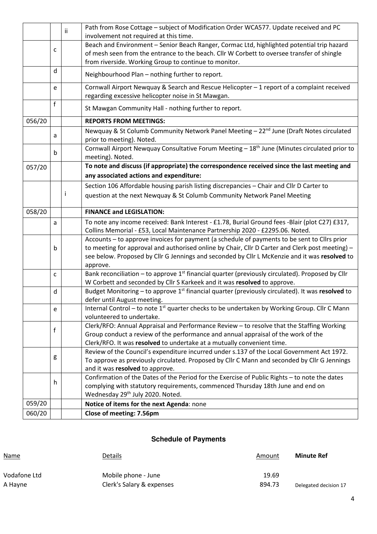|        |              | ii. | Path from Rose Cottage - subject of Modification Order WCA577. Update received and PC<br>involvement not required at this time.                                                          |  |  |  |
|--------|--------------|-----|------------------------------------------------------------------------------------------------------------------------------------------------------------------------------------------|--|--|--|
|        | C            |     | Beach and Environment - Senior Beach Ranger, Cormac Ltd, highlighted potential trip hazard<br>of mesh seen from the entrance to the beach. Cllr W Corbett to oversee transfer of shingle |  |  |  |
|        |              |     | from riverside. Working Group to continue to monitor.                                                                                                                                    |  |  |  |
|        | d            |     | Neighbourhood Plan - nothing further to report.                                                                                                                                          |  |  |  |
|        | e            |     | Cornwall Airport Newquay & Search and Rescue Helicopter - 1 report of a complaint received<br>regarding excessive helicopter noise in St Mawgan.                                         |  |  |  |
|        | f            |     | St Mawgan Community Hall - nothing further to report.                                                                                                                                    |  |  |  |
| 056/20 |              |     | <b>REPORTS FROM MEETINGS:</b>                                                                                                                                                            |  |  |  |
|        | a            |     | Newquay & St Columb Community Network Panel Meeting - 22 <sup>nd</sup> June (Draft Notes circulated<br>prior to meeting). Noted.                                                         |  |  |  |
|        | b            |     | Cornwall Airport Newquay Consultative Forum Meeting - 18 <sup>th</sup> June (Minutes circulated prior to<br>meeting). Noted.                                                             |  |  |  |
| 057/20 |              |     | To note and discuss (if appropriate) the correspondence received since the last meeting and                                                                                              |  |  |  |
|        |              |     | any associated actions and expenditure:                                                                                                                                                  |  |  |  |
|        |              |     | Section 106 Affordable housing parish listing discrepancies - Chair and Cllr D Carter to                                                                                                 |  |  |  |
|        |              | Ť   | question at the next Newquay & St Columb Community Network Panel Meeting                                                                                                                 |  |  |  |
| 058/20 |              |     | <b>FINANCE and LEGISLATION:</b>                                                                                                                                                          |  |  |  |
|        | a            |     | To note any income received: Bank Interest - £1.78, Burial Ground fees -Blair (plot C27) £317,                                                                                           |  |  |  |
|        |              |     | Collins Memorial - £53, Local Maintenance Partnership 2020 - £2295.06. Noted.                                                                                                            |  |  |  |
|        |              |     | Accounts - to approve invoices for payment (a schedule of payments to be sent to ClIrs prior                                                                                             |  |  |  |
|        | b            |     | to meeting for approval and authorised online by Chair, Cllr D Carter and Clerk post meeting) -                                                                                          |  |  |  |
|        |              |     | see below. Proposed by Cllr G Jennings and seconded by Cllr L McKenzie and it was resolved to                                                                                            |  |  |  |
|        | c            |     | approve.<br>Bank reconciliation – to approve 1 <sup>st</sup> financial quarter (previously circulated). Proposed by Cllr                                                                 |  |  |  |
|        |              |     | W Corbett and seconded by Cllr S Karkeek and it was resolved to approve.                                                                                                                 |  |  |  |
|        | d            |     | Budget Monitoring - to approve 1 <sup>st</sup> financial quarter (previously circulated). It was resolved to<br>defer until August meeting.                                              |  |  |  |
|        | e            |     | Internal Control – to note $1st$ quarter checks to be undertaken by Working Group. Cllr C Mann                                                                                           |  |  |  |
|        |              |     | volunteered to undertake.                                                                                                                                                                |  |  |  |
|        |              |     | Clerk/RFO: Annual Appraisal and Performance Review - to resolve that the Staffing Working                                                                                                |  |  |  |
|        | $\mathsf{f}$ |     | Group conduct a review of the performance and annual appraisal of the work of the                                                                                                        |  |  |  |
|        |              |     | Clerk/RFO. It was resolved to undertake at a mutually convenient time.                                                                                                                   |  |  |  |
|        |              |     | Review of the Council's expenditure incurred under s.137 of the Local Government Act 1972.                                                                                               |  |  |  |
|        | g            |     | To approve as previously circulated. Proposed by Cllr C Mann and seconded by Cllr G Jennings                                                                                             |  |  |  |
|        |              |     | and it was resolved to approve.                                                                                                                                                          |  |  |  |
|        | h            |     | Confirmation of the Dates of the Period for the Exercise of Public Rights - to note the dates                                                                                            |  |  |  |
|        |              |     | complying with statutory requirements, commenced Thursday 18th June and end on<br>Wednesday 29th July 2020. Noted.                                                                       |  |  |  |
| 059/20 |              |     | Notice of items for the next Agenda: none                                                                                                                                                |  |  |  |
| 060/20 |              |     | Close of meeting: 7.56pm                                                                                                                                                                 |  |  |  |
|        |              |     |                                                                                                                                                                                          |  |  |  |

### **Schedule of Payments**

| Name         | Details                   | Amount | <b>Minute Ref</b>     |
|--------------|---------------------------|--------|-----------------------|
| Vodafone Ltd | Mobile phone - June       | 19.69  |                       |
| A Hayne      | Clerk's Salary & expenses | 894.73 | Delegated decision 17 |